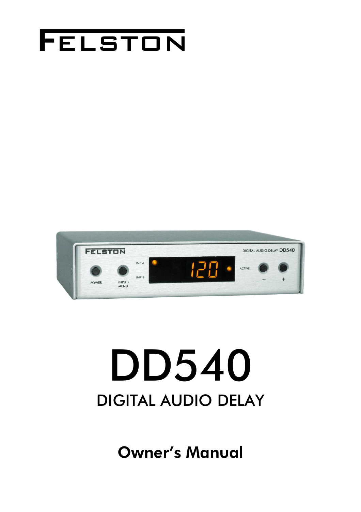



# DD540 DIGITAL AUDIO DELAY

Owner's Manual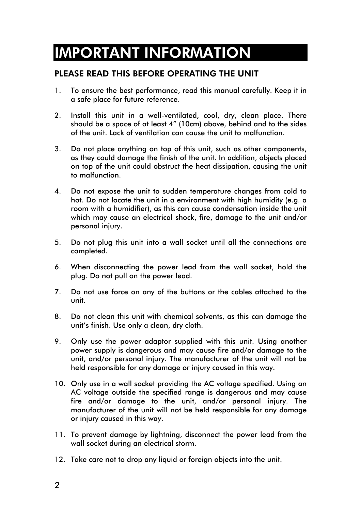### IMPORTANT INFORMATION

#### PLEASE READ THIS BEFORE OPERATING THE UNIT

- 1. To ensure the best performance, read this manual carefully. Keep it in a safe place for future reference.
- 2. Install this unit in a well-ventilated, cool, dry, clean place. There should be a space of at least 4" (10cm) above, behind and to the sides of the unit. Lack of ventilation can cause the unit to malfunction.
- 3. Do not place anything on top of this unit, such as other components, as they could damage the finish of the unit. In addition, objects placed on top of the unit could obstruct the heat dissipation, causing the unit to malfunction.
- 4. Do not expose the unit to sudden temperature changes from cold to hot. Do not locate the unit in a environment with high humidity (e.g. a room with a humidifier), as this can cause condensation inside the unit which may cause an electrical shock, fire, damage to the unit and/or personal injury.
- 5. Do not plug this unit into a wall socket until all the connections are completed.
- 6. When disconnecting the power lead from the wall socket, hold the plug. Do not pull on the power lead.
- 7. Do not use force on any of the buttons or the cables attached to the unit.
- 8. Do not clean this unit with chemical solvents, as this can damage the unit's finish. Use only a clean, dry cloth.
- 9. Only use the power adaptor supplied with this unit. Using another power supply is dangerous and may cause fire and/or damage to the unit, and/or personal injury. The manufacturer of the unit will not be held responsible for any damage or injury caused in this way.
- 10. Only use in a wall socket providing the AC voltage specified. Using an AC voltage outside the specified range is dangerous and may cause fire and/or damage to the unit, and/or personal injury. The manufacturer of the unit will not be held responsible for any damage or injury caused in this way.
- 11. To prevent damage by lightning, disconnect the power lead from the wall socket during an electrical storm.
- 12. Take care not to drop any liquid or foreign objects into the unit.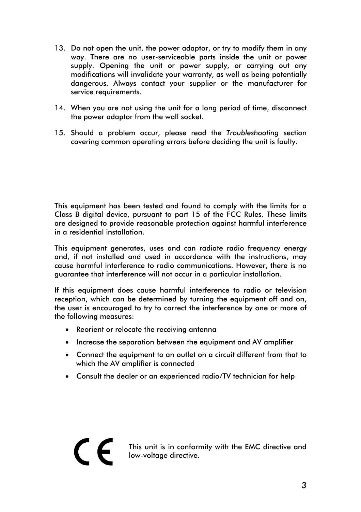- 13. Do not open the unit, the power adaptor, or try to modify them in any way. There are no user-serviceable parts inside the unit or power supply. Opening the unit or power supply, or carrying out any modifications will invalidate your warranty, as well as being potentially dangerous. Always contact your supplier or the manufacturer for service requirements.
- 14. When you are not using the unit for a long period of time, disconnect the power adaptor from the wall socket.
- 15. Should a problem occur, please read the *Troubleshooting* section covering common operating errors before deciding the unit is faulty.

This equipment has been tested and found to comply with the limits for a Class B digital device, pursuant to part 15 of the FCC Rules. These limits are designed to provide reasonable protection against harmful interference in a residential installation.

This equipment generates, uses and can radiate radio frequency energy and, if not installed and used in accordance with the instructions, may cause harmful interference to radio communications. However, there is no guarantee that interference will not occur in a particular installation.

If this equipment does cause harmful interference to radio or television reception, which can be determined by turning the equipment off and on, the user is encouraged to try to correct the interference by one or more of the following measures:

- Reorient or relocate the receiving antenna
- Increase the separation between the equipment and AV amplifier
- Connect the equipment to an outlet on a circuit different from that to which the AV amplifier is connected
- Consult the dealer or an experienced radio/TV technician for help

This unit is in conformity with the EMC directive and low-voltage directive.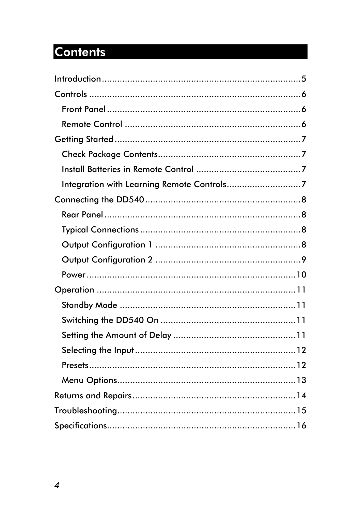### **Contents**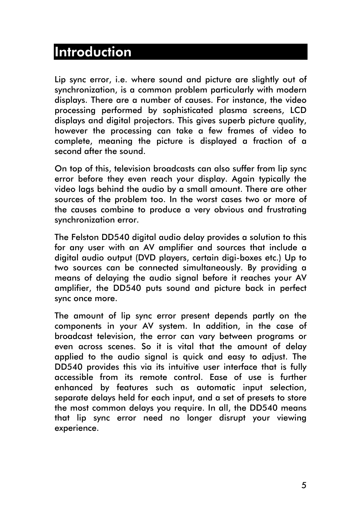#### <span id="page-4-0"></span>Introduction

Lip sync error, i.e. where sound and picture are slightly out of synchronization, is a common problem particularly with modern displays. There are a number of causes. For instance, the video processing performed by sophisticated plasma screens, LCD displays and digital projectors. This gives superb picture quality, however the processing can take a few frames of video to complete, meaning the picture is displayed a fraction of a second after the sound.

On top of this, television broadcasts can also suffer from lip sync error before they even reach your display. Again typically the video lags behind the audio by a small amount. There are other sources of the problem too. In the worst cases two or more of the causes combine to produce a very obvious and frustrating synchronization error.

The Felston DD540 digital audio delay provides a solution to this for any user with an AV amplifier and sources that include a digital audio output (DVD players, certain digi-boxes etc.) Up to two sources can be connected simultaneously. By providing a means of delaying the audio signal before it reaches your AV amplifier, the DD540 puts sound and picture back in perfect sync once more.

The amount of lip sync error present depends partly on the components in your AV system. In addition, in the case of broadcast television, the error can vary between programs or even across scenes. So it is vital that the amount of delay applied to the audio signal is quick and easy to adjust. The DD540 provides this via its intuitive user interface that is fully accessible from its remote control. Ease of use is further enhanced by features such as automatic input selection, separate delays held for each input, and a set of presets to store the most common delays you require. In all, the DD540 means that lip sync error need no longer disrupt your viewing experience.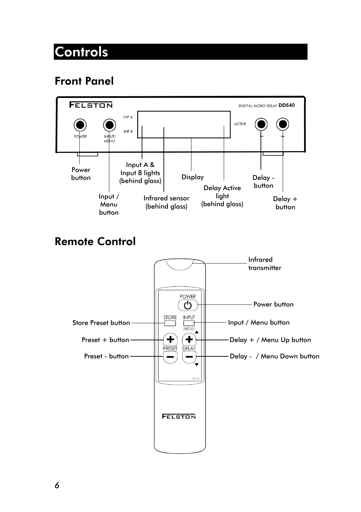### <span id="page-5-0"></span>**Controls**

#### Front Panel



#### Remote Control

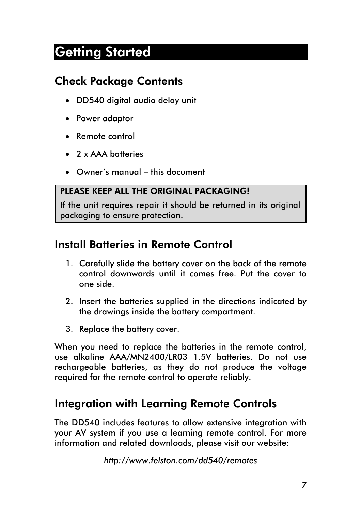### <span id="page-6-0"></span>Getting Started

#### Check Package Contents

- DD540 digital audio delay unit
- Power adaptor
- Remote control
- 2 x AAA batteries
- Owner's manual this document

#### PIFASE KEEP ALL THE ORIGINAL PACKAGING!

If the unit requires repair it should be returned in its original packaging to ensure protection.

#### Install Batteries in Remote Control

- 1. Carefully slide the battery cover on the back of the remote control downwards until it comes free. Put the cover to one side.
- 2. Insert the batteries supplied in the directions indicated by the drawings inside the battery compartment.
- 3. Replace the battery cover.

When you need to replace the batteries in the remote control, use alkaline AAA/MN2400/LR03 1.5V batteries. Do not use rechargeable batteries, as they do not produce the voltage required for the remote control to operate reliably.

#### Integration with Learning Remote Controls

The DD540 includes features to allow extensive integration with your AV system if you use a learning remote control. For more information and related downloads, please visit our website:

*http://www.felston.com/dd540/remotes*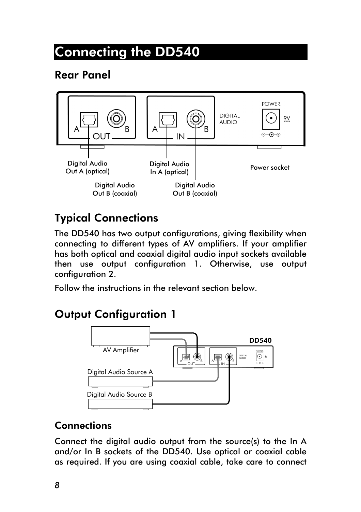### <span id="page-7-0"></span>Connecting the DD540

#### Rear Panel



#### Typical Connections

<span id="page-7-1"></span>The DD540 has two output configurations, giving flexibility when connecting to different types of AV amplifiers. If your amplifier has both optical and coaxial digital audio input sockets available then use output configuration 1. Otherwise, use output configuration 2.

Follow the instructions in the relevant section below.

#### Output Configuration 1



#### **Connections**

Connect the digital audio output from the source(s) to the In A and/or In B sockets of the DD540. Use optical or coaxial cable as required. If you are using coaxial cable, take care to connect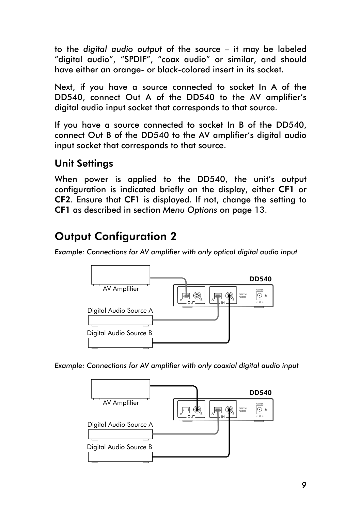<span id="page-8-0"></span>to the *digital audio output* of the source – it may be labeled "digital audio", "SPDIF", "coax audio" or similar, and should have either an orange- or black-colored insert in its socket.

Next, if you have a source connected to socket In A of the DD540, connect Out A of the DD540 to the AV amplifier's digital audio input socket that corresponds to that source.

If you have a source connected to socket In B of the DD540, connect Out B of the DD540 to the AV amplifier's digital audio input socket that corresponds to that source.

#### Unit Settings

When power is applied to the DD540, the unit's output configuration is indicated briefly on the display, either CF1 or CF2. Ensure that CF1 is displayed. If not, change the setting to CF1 as described in section *Menu Options* on page 13.

#### Output Configuratio[n 2](#page-12-1)

*Example: Connections for AV amplifier with only optical digital audio input* 



*Example: Connections for AV amplifier with only coaxial digital audio input* 

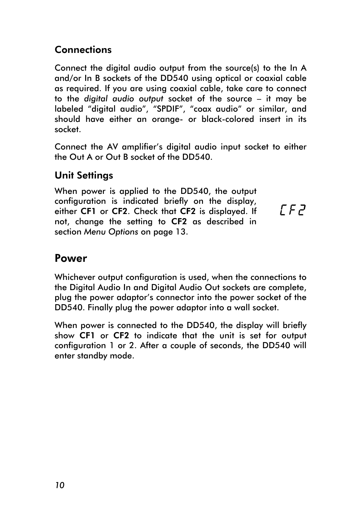#### <span id="page-9-0"></span>**Connections**

Connect the digital audio output from the source(s) to the In A and/or In B sockets of the DD540 using optical or coaxial cable as required. If you are using coaxial cable, take care to connect to the *digital audio output* socket of the source – it may be labeled "digital audio", "SPDIF", "coax audio" or similar, and should have either an orange- or black-colored insert in its socket.

Connect the AV amplifier's digital audio input socket to either the Out A or Out B socket of the DD540.

#### Unit Settings

When power is applied to the DD540, the output configuration is indicated briefly on the display, either CF1 or CF2. Check that CF2 is displayed. If not, change the setting to CF2 as described in section *Menu Options* on page 13.

[F2

#### Powe[r](#page-12-1)

Whichever output configuration is used, when the connections to the Digital Audio In and Digital Audio Out sockets are complete, plug the power adaptor's connector into the power socket of the DD540. Finally plug the power adaptor into a wall socket.

When power is connected to the DD540, the display will briefly show CF1 or CF2 to indicate that the unit is set for output configuration 1 or 2. After a couple of seconds, the DD540 will enter standby mode.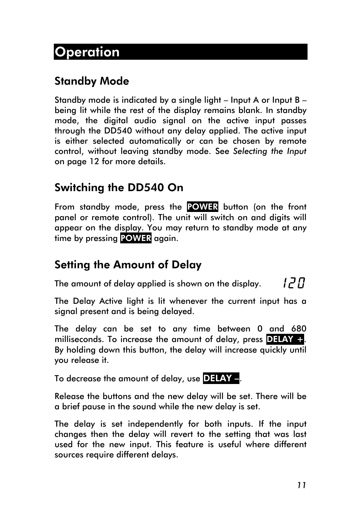#### <span id="page-10-0"></span>Standby Mode

Standby mode is indicated by a single light – Input A or Input B – being lit while the rest of the display remains blank. In standby mode, the digital audio signal on the active input passes through the DD540 without any delay applied. The active input is either selected automatically or can be chosen by remote control, without leaving standby mode. See *Selecting the Input* on page 12 for more details.

#### Switch[ing](#page-11-1) the DD540 On

From standby mode, press the POWER button (on the front panel or remote control). The unit will switch on and digits will appear on the display. You may return to standby mode at any time by pressing POWER again.

#### Setting the Amount of Delay

The amount of delay applied is shown on the display.

חקו

The Delay Active light is lit whenever the current input has a signal present and is being delayed.

The delay can be set to any time between 0 and 680 milliseconds. To increase the amount of delay, press  $\overline{D=AY} +$ . By holding down this button, the delay will increase quickly until you release it.

To decrease the amount of delay, use DELAY -

Release the buttons and the new delay will be set. There will be a brief pause in the sound while the new delay is set.

The delay is set independently for both inputs. If the input changes then the delay will revert to the setting that was last used for the new input. This feature is useful where different sources require different delays.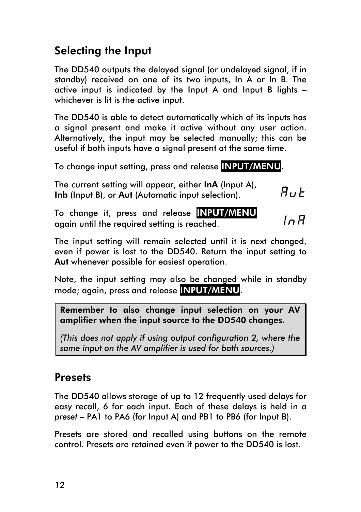#### <span id="page-11-1"></span><span id="page-11-0"></span>Selecting the Input

The DD540 outputs the delayed signal (or undelayed signal, if in standby) received on one of its two inputs, In A or In B. The active input is indicated by the Input A and Input B lights – whichever is lit is the active input.

The DD540 is able to detect automatically which of its inputs has a signal present and make it active without any user action. Alternatively, the input may be selected manually; this can be useful if both inputs have a signal present at the same time.

To change input setting, press and release INPUT/MENU.

The current setting will appear, either InA (Input A),  $R$ ப $t$ Inb (Input B), or Aut (Automatic input selection).

To change it, press and release INPUT/MENU  $ln R$ again until the required setting is reached.

The input setting will remain selected until it is next changed, even if power is lost to the DD540. Return the input setting to Aut whenever possible for easiest operation.

Note, the input setting may also be changed while in standby mode; again, press and release INPUT/MENU.

Remember to also change input selection on your AV amplifier when the input source to the DD540 changes.

*(This does not apply if using output configuration 2, where the same input on the AV amplifier is used for both sources.)* 

#### **Presets**

The DD540 allows storage of up to 12 frequently used delays for easy recall, 6 for each input. Each of these delays is held in a *preset* – PA1 to PA6 (for Input A) and PB1 to PB6 (for Input B).

Presets are stored and recalled using buttons on the remote control. Presets are retained even if power to the DD540 is lost.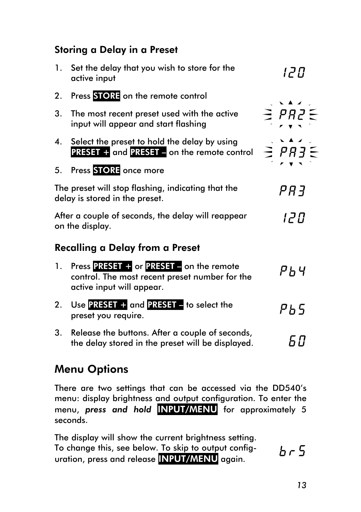#### <span id="page-12-0"></span>Storing a Delay in a Preset

| $\mathbf{1}$ . | Set the delay that you wish to store for the<br>active input                                                            | 12 D              |
|----------------|-------------------------------------------------------------------------------------------------------------------------|-------------------|
| 2.             | Press STORE on the remote control                                                                                       |                   |
| 3.             | The most recent preset used with the active<br>input will appear and start flashing                                     | $\geq$ PR2 $\leq$ |
| 4.             | Select the preset to hold the delay by using<br><b>PRESET + and PRESET - on the remote control</b>                      | $\geq$ $PR3\leq$  |
| 5.             | Press STORE once more                                                                                                   |                   |
|                | The preset will stop flashing, indicating that the<br>delay is stored in the preset.                                    | <i>PR3</i>        |
|                | After a couple of seconds, the delay will reappear<br>on the display.                                                   | 12 D              |
|                | Recalling a Delay from a Preset                                                                                         |                   |
| $\mathbf{1}$ . | Press PRESET + or PRESET - on the remote<br>control. The most recent preset number for the<br>active input will appear. | ሥ ከ ዛ             |
| 2.             | Use PRESET + and PRESET - to select the<br>preset you require.                                                          | ዎ ኤ 5             |
| 3 <sub>1</sub> | Release the buttons. After a couple of seconds,<br>the delay stored in the preset will be displayed.                    | 68                |

#### <span id="page-12-1"></span>Menu Options

There are two settings that can be accessed via the DD540's menu: display brightness and output configuration. To enter the menu, *press and hold* INPUT/MENU for approximately 5 seconds.

The display will show the current brightness setting. To change this, see below. To skip to output config $b - 5$ uration, press and release INPUT/MENU again.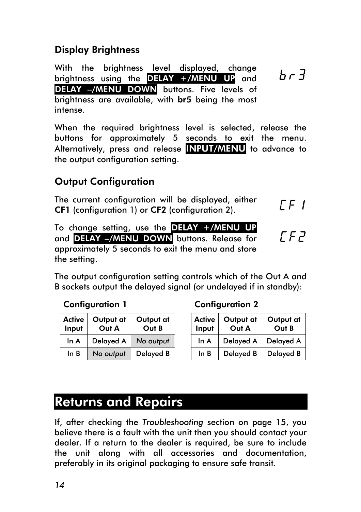#### <span id="page-13-0"></span>Display Brightness

With the brightness level displayed, change  $b - 3$ brightness using the DELAY +/MENU UP and DELAY –/MENU DOWN buttons. Five levels of brightness are available, with br5 being the most intense.

When the required brightness level is selected, release the buttons for approximately 5 seconds to exit the menu. Alternatively, press and release INPUT/MENU to advance to the output configuration setting.

#### Output Configuration

<span id="page-13-1"></span>The current configuration will be displayed, either  $LF$  ! CF1 (configuration 1) or CF2 (configuration 2).

To change setting, use the DELAY +/MENU UP and DELAY –/MENU DOWN buttons. Release for approximately 5 seconds to exit the menu and store the setting.

The output configuration setting controls which of the Out A and B sockets output the delayed signal (or undelayed if in standby):

| <b>Active</b><br>Input | Output at<br>Out A | Output at<br>Out B |
|------------------------|--------------------|--------------------|
| ln A                   | Delayed A          | No output          |
| ln B                   | No output          | <b>Delayed B</b>   |

#### Configuration 1 Configuration 2

| <b>ctive</b><br>nput | Output at<br>Out A | Output at<br>Out B | <b>Active</b><br>Input | Output at<br>Out A    | Output at<br>Out B |
|----------------------|--------------------|--------------------|------------------------|-----------------------|--------------------|
| ln A                 | Delayed A          | No output          | ln A                   | Delayed A   Delayed A |                    |
| ln B                 | No output          | Delayed B          | ln B                   | Delayed B             | Delayed B          |

 $F F$ 

#### Returns and Repairs

If, after checking the *Troubleshooting* section on page 15, you believe there is a fault with the unit then you should contact your dealer. If a return to the dealer is required, be sure to include the unit along with all accessories and docum[enta](#page-14-0)tion, preferably in its original packaging to ensure safe transit.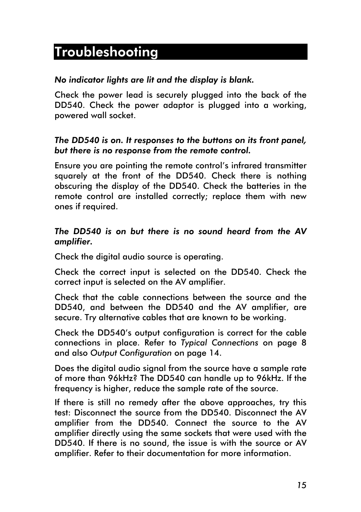### Troubleshooting

#### <span id="page-14-0"></span>*No indicator lights are lit and the display is blank.*

Check the power lead is securely plugged into the back of the DD540. Check the power adaptor is plugged into a working, powered wall socket.

#### *The DD540 is on. It responses to the buttons on its front panel, but there is no response from the remote control.*

Ensure you are pointing the remote control's infrared transmitter squarely at the front of the DD540. Check there is nothing obscuring the display of the DD540. Check the batteries in the remote control are installed correctly; replace them with new ones if required.

#### *The DD540 is on but there is no sound heard from the AV amplifier.*

Check the digital audio source is operating.

Check the correct input is selected on the DD540. Check the correct input is selected on the AV amplifier.

Check that the cable connections between the source and the DD540, and between the DD540 and the AV amplifier, are secure. Try alternative cables that are known to be working.

Check the DD540's output configuration is correct for the cable connections in place. Refer to *Typical Connections* on page 8 and also *Output Configuration* on page 14.

Does the digital audio signal fro[m the source have a](#page-7-1) sample rat[e](#page-7-1)  of more t[han 96kHz? The DD5](#page-13-1)40 can h[and](#page-13-1)le up to 96kHz. If the frequency is higher, reduce the sample rate of the source.

If there is still no remedy after the above approaches, try this test: Disconnect the source from the DD540. Disconnect the AV amplifier from the DD540. Connect the source to the AV amplifier directly using the same sockets that were used with the DD540. If there is no sound, the issue is with the source or AV amplifier. Refer to their documentation for more information.